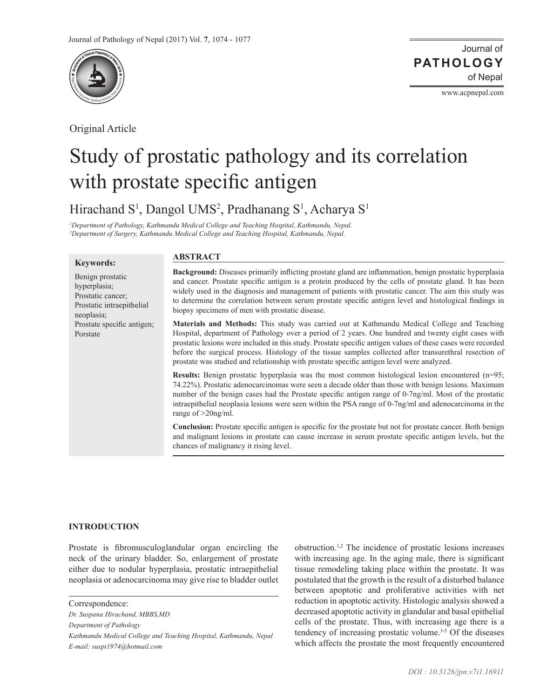

Original Article

www.acpnepal.com

# Study of prostatic pathology and its correlation with prostate specific antigen

Hirachand S<sup>1</sup>, Dangol UMS<sup>2</sup>, Pradhanang S<sup>1</sup>, Acharya S<sup>1</sup>

*1 Department of Pathology, Kathmandu Medical College and Teaching Hospital, Kathmandu, Nepal. 2 Department of Surgery, Kathmandu Medical College and Teaching Hospital, Kathmandu, Nepal.*

## **Keywords:**

# **ABSTRACT**

Benign prostatic hyperplasia; Prostatic cancer; Prostatic intraepithelial neoplasia; Prostate specific antigen; Porstate

**Background:** Diseases primarily inflicting prostate gland are inflammation, benign prostatic hyperplasia and cancer. Prostate specific antigen is a protein produced by the cells of prostate gland. It has been widely used in the diagnosis and management of patients with prostatic cancer. The aim this study was to determine the correlation between serum prostate specific antigen level and histological findings in biopsy specimens of men with prostatic disease.

**Materials and Methods:** This study was carried out at Kathmandu Medical College and Teaching Hospital, department of Pathology over a period of 2 years. One hundred and twenty eight cases with prostatic lesions were included in this study. Prostate specific antigen values of these cases were recorded before the surgical process. Histology of the tissue samples collected after transurethral resection of prostate was studied and relationship with prostate specific antigen level were analyzed.

**Results:** Benign prostatic hyperplasia was the most common histological lesion encountered (n=95; 74.22%). Prostatic adenocarcinomas were seen a decade older than those with benign lesions. Maximum number of the benign cases had the Prostate specific antigen range of 0-7ng/ml. Most of the prostatic intraepithelial neoplasia lesions were seen within the PSA range of 0-7ng/ml and adenocarcinoma in the range of >20ng/ml.

**Conclusion:** Prostate specific antigen is specific for the prostate but not for prostate cancer. Both benign and malignant lesions in prostate can cause increase in serum prostate specific antigen levels, but the chances of malignancy it rising level.

# **INTRODUCTION**

Prostate is fibromusculoglandular organ encircling the neck of the urinary bladder. So, enlargement of prostate either due to nodular hyperplasia, prostatic intraepithelial neoplasia or adenocarcinoma may give rise to bladder outlet

*Dr. Suspana Hirachand, MBBS,MD Department of Pathology Kathmandu Medical College and Teaching Hospital, Kathmandu, Nepal E-mail: suspi1974@hotmail.com* 

obstruction.1,2 The incidence of prostatic lesions increases with increasing age. In the aging male, there is significant tissue remodeling taking place within the prostate. It was postulated that the growth is the result of a disturbed balance between apoptotic and proliferative activities with net reduction in apoptotic activity. Histologic analysis showed a decreased apoptotic activity in glandular and basal epithelial cells of the prostate. Thus, with increasing age there is a tendency of increasing prostatic volume.3-5 Of the diseases which affects the prostate the most frequently encountered

Correspondence: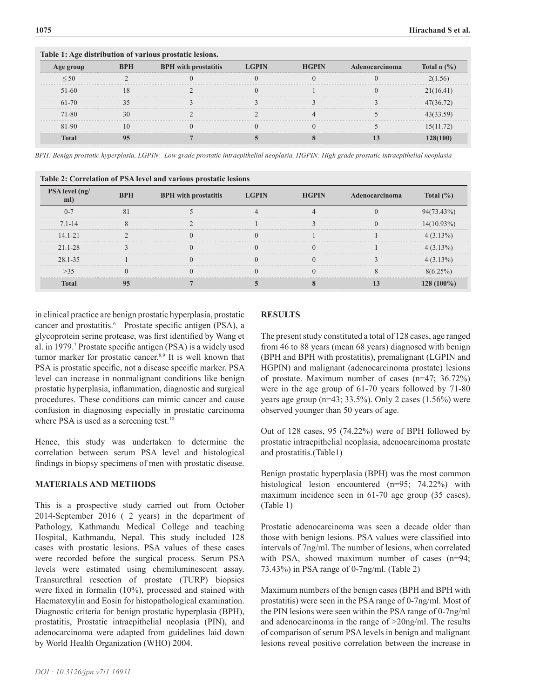| Table 1: Age distribution of various prostatic resions. |            |                             |              |              |                |                                      |  |  |  |  |
|---------------------------------------------------------|------------|-----------------------------|--------------|--------------|----------------|--------------------------------------|--|--|--|--|
| Age group                                               | <b>BPH</b> | <b>BPH</b> with prostatitis | <b>LGPIN</b> | <b>HGPIN</b> | Adenocarcinoma | Total $n$ $\left(\frac{9}{6}\right)$ |  |  |  |  |
| $\leq 50$                                               |            |                             |              |              |                | 2(1.56)                              |  |  |  |  |
| $51-60$                                                 |            |                             |              |              |                | 21(16.41)                            |  |  |  |  |
| 61-70                                                   |            |                             |              |              |                | 47(36.72)                            |  |  |  |  |
| 71-80                                                   |            |                             |              |              |                | 43(33.59                             |  |  |  |  |
| 81-90                                                   |            |                             |              |              |                | 15(11.72)                            |  |  |  |  |
| <b>Total</b>                                            |            |                             |              |              |                | 128(100)                             |  |  |  |  |

*BPH: Benign prostatic hyperplasia, LGPIN: Low grade prostatic intraepithelial neoplasia, HGPIN: High grade prostatic intraepithelial neoplasia*

| Table 2: Correlation of PSA level and various prostatic lesions |            |                             |              |              |                |               |  |  |  |  |
|-----------------------------------------------------------------|------------|-----------------------------|--------------|--------------|----------------|---------------|--|--|--|--|
| PSA level (ng/<br>ml)                                           | <b>BPH</b> | <b>BPH</b> with prostatitis | <b>LGPIN</b> | <b>HGPIN</b> | Adenocarcinoma | Total $(\% )$ |  |  |  |  |
| $0 - 7$                                                         | 81         |                             |              |              |                | $94(73.43\%)$ |  |  |  |  |
| $7.1 - 14$                                                      |            |                             |              |              |                | $14(10.93\%)$ |  |  |  |  |
| $14.1 - 21$                                                     |            |                             |              |              |                | 4(3.13%)      |  |  |  |  |
| $21.1 - 28$                                                     |            |                             |              |              |                | 4(3.13%)      |  |  |  |  |
| 28.1-35                                                         |            |                             |              |              |                | 4(3.13%)      |  |  |  |  |
| $>35$                                                           |            |                             |              |              |                | 8(6.25%)      |  |  |  |  |
| <b>Total</b>                                                    | 95         |                             |              |              |                | $128(100\%)$  |  |  |  |  |

in clinical practice are benign prostatic hyperplasia, prostatic cancer and prostatitis.<sup>6</sup> Prostate specific antigen (PSA), a glycoprotein serine protease, was first identified by Wang et al. in 1979.7 Prostate specific antigen (PSA) is a widely used tumor marker for prostatic cancer.<sup>8,9</sup> It is well known that PSA is prostatic specific, not a disease specific marker. PSA level can increase in nonmalignant conditions like benign prostatic hyperplasia, inflammation, diagnostic and surgical procedures. These conditions can mimic cancer and cause confusion in diagnosing especially in prostatic carcinoma where PSA is used as a screening test.<sup>10</sup>

**Table 1: Age distribution of various prostatic lesions.**

Hence, this study was undertaken to determine the correlation between serum PSA level and histological findings in biopsy specimens of men with prostatic disease.

#### **MATERIALS AND METHODS**

This is a prospective study carried out from October 2014-September 2016 ( 2 years) in the department of Pathology, Kathmandu Medical College and teaching Hospital, Kathmandu, Nepal. This study included 128 cases with prostatic lesions. PSA values of these cases were recorded before the surgical process. Serum PSA levels were estimated using chemiluminescent assay. Transurethral resection of prostate (TURP) biopsies were fixed in formalin (10%), processed and stained with Haematoxylin and Eosin for histopathological examination. Diagnostic criteria for benign prostatic hyperplasia (BPH), prostatitis, Prostatic intraepithelial neoplasia (PIN), and adenocarcinoma were adapted from guidelines laid down by World Health Organization (WHO) 2004.

# **RESULTS**

The present study constituted a total of 128 cases, age ranged from 46 to 88 years (mean 68 years) diagnosed with benign (BPH and BPH with prostatitis), premalignant (LGPIN and HGPIN) and malignant (adenocarcinoma prostate) lesions of prostate. Maximum number of cases (n=47; 36.72%) were in the age group of 61-70 years followed by 71-80 years age group (n=43; 33.5%). Only 2 cases (1.56%) were observed younger than 50 years of age.

Out of 128 cases, 95 (74.22%) were of BPH followed by prostatic intraepithelial neoplasia, adenocarcinoma prostate and prostatitis.(Table1)

Benign prostatic hyperplasia (BPH) was the most common histological lesion encountered (n=95; 74.22%) with maximum incidence seen in 61-70 age group (35 cases). (Table 1)

Prostatic adenocarcinoma was seen a decade older than those with benign lesions. PSA values were classified into intervals of 7ng/ml. The number of lesions, when correlated with PSA, showed maximum number of cases (n=94; 73.43%) in PSA range of 0-7ng/ml. (Table 2)

Maximum numbers of the benign cases (BPH and BPH with prostatitis) were seen in the PSA range of 0-7ng/ml. Most of the PIN lesions were seen within the PSA range of 0-7ng/ml and adenocarcinoma in the range of >20ng/ml. The results of comparison of serum PSA levels in benign and malignant lesions reveal positive correlation between the increase in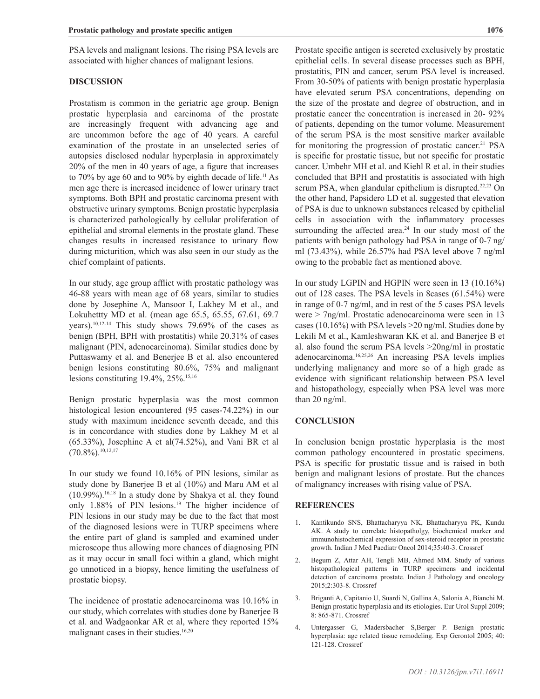PSA levels and malignant lesions. The rising PSA levels are associated with higher chances of malignant lesions.

### **DISCUSSION**

Prostatism is common in the geriatric age group. Benign prostatic hyperplasia and carcinoma of the prostate are increasingly frequent with advancing age and are uncommon before the age of 40 years. A careful examination of the prostate in an unselected series of autopsies disclosed nodular hyperplasia in approximately 20% of the men in 40 years of age, a figure that increases to 70% by age 60 and to 90% by eighth decade of life.11 As men age there is increased incidence of lower urinary tract symptoms. Both BPH and prostatic carcinoma present with obstructive urinary symptoms. Benign prostatic hyperplasia is characterized pathologically by cellular proliferation of epithelial and stromal elements in the prostate gland. These changes results in increased resistance to urinary flow during micturition, which was also seen in our study as the chief complaint of patients.

In our study, age group afflict with prostatic pathology was 46-88 years with mean age of 68 years, similar to studies done by Josephine A, Mansoor I, Lakhey M et al., and Lokuhettty MD et al. (mean age 65.5, 65.55, 67.61, 69.7 years).10,12-14 This study shows 79.69% of the cases as benign (BPH, BPH with prostatitis) while 20.31% of cases malignant (PIN, adenocarcinoma). Similar studies done by Puttaswamy et al. and Benerjee B et al. also encountered benign lesions constituting 80.6%, 75% and malignant lesions constituting 19.4%, 25%.15,16

Benign prostatic hyperplasia was the most common histological lesion encountered (95 cases-74.22%) in our study with maximum incidence seventh decade, and this is in concordance with studies done by Lakhey M et al (65.33%), Josephine A et al(74.52%), and Vani BR et al  $(70.8\%)$ <sup>10,12,17</sup>

In our study we found 10.16% of PIN lesions, similar as study done by Banerjee B et al (10%) and Maru AM et al  $(10.99\%)$ .<sup>16,18</sup> In a study done by Shakya et al. they found only 1.88% of PIN lesions.<sup>19</sup> The higher incidence of PIN lesions in our study may be due to the fact that most of the diagnosed lesions were in TURP specimens where the entire part of gland is sampled and examined under microscope thus allowing more chances of diagnosing PIN as it may occur in small foci within a gland, which might go unnoticed in a biopsy, hence limiting the usefulness of prostatic biopsy.

The incidence of prostatic adenocarcinoma was 10.16% in our study, which correlates with studies done by Banerjee B et al. and Wadgaonkar AR et al, where they reported 15% malignant cases in their studies.<sup>16,20</sup>

Prostate specific antigen is secreted exclusively by prostatic epithelial cells. In several disease processes such as BPH, prostatitis, PIN and cancer, serum PSA level is increased. From 30-50% of patients with benign prostatic hyperplasia have elevated serum PSA concentrations, depending on the size of the prostate and degree of obstruction, and in prostatic cancer the concentration is increased in 20- 92% of patients, depending on the tumor volume. Measurement of the serum PSA is the most sensitive marker available for monitoring the progression of prostatic cancer.<sup>21</sup> PSA is specific for prostatic tissue, but not specific for prostatic cancer. Umbehr MH et al. and Kiehl R et al. in their studies concluded that BPH and prostatitis is associated with high serum PSA, when glandular epithelium is disrupted.<sup>22,23</sup> On the other hand, Papsidero LD et al. suggested that elevation of PSA is due to unknown substances released by epithelial cells in association with the inflammatory processes surrounding the affected area. $24$  In our study most of the patients with benign pathology had PSA in range of 0-7 ng/ ml (73.43%), while 26.57% had PSA level above 7 ng/ml owing to the probable fact as mentioned above.

In our study LGPIN and HGPIN were seen in 13 (10.16%) out of 128 cases. The PSA levels in 8cases (61.54%) were in range of 0-7 ng/ml, and in rest of the 5 cases PSA levels were > 7ng/ml. Prostatic adenocarcinoma were seen in 13 cases (10.16%) with PSA levels >20 ng/ml. Studies done by Lekili M et al., Kamleshwaran KK et al. and Banerjee B et al. also found the serum PSA levels >20ng/ml in prostatic adenocarcinoma.16,25,26 An increasing PSA levels implies underlying malignancy and more so of a high grade as evidence with significant relationship between PSA level and histopathology, especially when PSA level was more than 20 ng/ml.

#### **CONCLUSION**

In conclusion benign prostatic hyperplasia is the most common pathology encountered in prostatic specimens. PSA is specific for prostatic tissue and is raised in both benign and malignant lesions of prostate. But the chances of malignancy increases with rising value of PSA.

#### **REFERENCES**

- 1. Kantikundo SNS, Bhattacharyya NK, Bhattacharyya PK, Kundu AK. A study to correlate histopatholgy, biochemical marker and immunohistochemical expression of sex-steroid receptor in prostatic growth. Indian J Med Paediatr Oncol 2014;35:40-3. [Crossref](https://doi.org/10.4103/0971-5851.133719)
- 2. Begum Z, Attar AH, Tengli MB, Ahmed MM. Study of various histopathological patterns in TURP specimens and incidental detection of carcinoma prostate. Indian J Pathology and oncology 2015;2:303-8. [Crossref](https://doi.org/10.5958/2394-6792.2015.00032.0)
- 3. Briganti A, Capitanio U, Suardi N, Gallina A, Salonia A, Bianchi M. Benign prostatic hyperplasia and its etiologies. Eur Urol Suppl 2009; 8: 865-871. [Crossref](https://doi.org/10.1016/j.eursup.2009.11.002)
- 4. Untergasser G, Madersbacher S,Berger P. Benign prostatic hyperplasia: age related tissue remodeling. Exp Gerontol 2005; 40: 121-128. [Crossref](https://doi.org/10.1016/j.exger.2004.12.008)